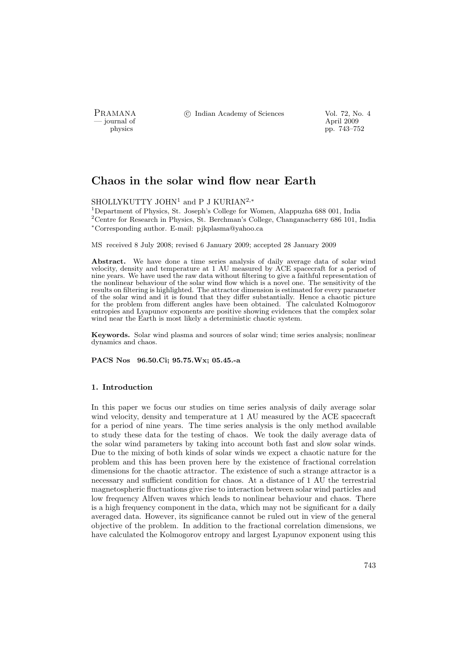PRAMANA <sup>C</sup> Indian Academy of Sciences Vol. 72, No. 4<br>
incurred of April 2009

position of the contract of the contract of the position of the contract of the contract of the contract of  $\alpha$  pp. 743–75 pp. 743–752

# Chaos in the solar wind flow near Earth

SHOLLYKUTTY JOHN<sup>1</sup> and P J KURIAN<sup>2,\*</sup>

<sup>1</sup>Department of Physics, St. Joseph's College for Women, Alappuzha 688 001, India <sup>2</sup>Centre for Research in Physics, St. Berchman's College, Changanacherry 686 101, India <sup>∗</sup>Corresponding author. E-mail: pjkplasma@yahoo.ca

MS received 8 July 2008; revised 6 January 2009; accepted 28 January 2009

Abstract. We have done a time series analysis of daily average data of solar wind velocity, density and temperature at 1 AU measured by ACE spacecraft for a period of nine years. We have used the raw data without filtering to give a faithful representation of the nonlinear behaviour of the solar wind flow which is a novel one. The sensitivity of the results on filtering is highlighted. The attractor dimension is estimated for every parameter of the solar wind and it is found that they differ substantially. Hence a chaotic picture for the problem from different angles have been obtained. The calculated Kolmogorov entropies and Lyapunov exponents are positive showing evidences that the complex solar wind near the Earth is most likely a deterministic chaotic system.

Keywords. Solar wind plasma and sources of solar wind; time series analysis; nonlinear dynamics and chaos.

PACS Nos 96.50.Ci; 95.75.Wx; 05.45.-a

## 1. Introduction

In this paper we focus our studies on time series analysis of daily average solar wind velocity, density and temperature at 1 AU measured by the ACE spacecraft for a period of nine years. The time series analysis is the only method available to study these data for the testing of chaos. We took the daily average data of the solar wind parameters by taking into account both fast and slow solar winds. Due to the mixing of both kinds of solar winds we expect a chaotic nature for the problem and this has been proven here by the existence of fractional correlation dimensions for the chaotic attractor. The existence of such a strange attractor is a necessary and sufficient condition for chaos. At a distance of 1 AU the terrestrial magnetospheric fluctuations give rise to interaction between solar wind particles and low frequency Alfven waves which leads to nonlinear behaviour and chaos. There is a high frequency component in the data, which may not be significant for a daily averaged data. However, its significance cannot be ruled out in view of the general objective of the problem. In addition to the fractional correlation dimensions, we have calculated the Kolmogorov entropy and largest Lyapunov exponent using this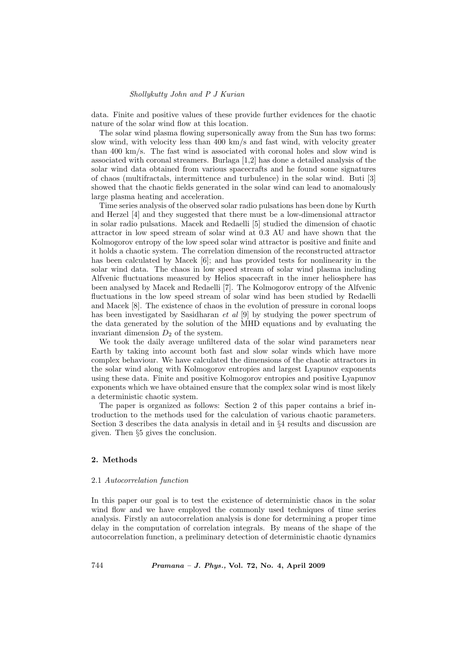## Shollykutty John and P J Kurian

data. Finite and positive values of these provide further evidences for the chaotic nature of the solar wind flow at this location.

The solar wind plasma flowing supersonically away from the Sun has two forms: slow wind, with velocity less than 400 km/s and fast wind, with velocity greater than 400 km/s. The fast wind is associated with coronal holes and slow wind is associated with coronal streamers. Burlaga [1,2] has done a detailed analysis of the solar wind data obtained from various spacecrafts and he found some signatures of chaos (multifractals, intermittence and turbulence) in the solar wind. Buti [3] showed that the chaotic fields generated in the solar wind can lead to anomalously large plasma heating and acceleration.

Time series analysis of the observed solar radio pulsations has been done by Kurth and Herzel [4] and they suggested that there must be a low-dimensional attractor in solar radio pulsations. Macek and Redaelli [5] studied the dimension of chaotic attractor in low speed stream of solar wind at 0.3 AU and have shown that the Kolmogorov entropy of the low speed solar wind attractor is positive and finite and it holds a chaotic system. The correlation dimension of the reconstructed attractor has been calculated by Macek [6]; and has provided tests for nonlinearity in the solar wind data. The chaos in low speed stream of solar wind plasma including Alfvenic fluctuations measured by Helios spacecraft in the inner heliosphere has been analysed by Macek and Redaelli [7]. The Kolmogorov entropy of the Alfvenic fluctuations in the low speed stream of solar wind has been studied by Redaelli and Macek [8]. The existence of chaos in the evolution of pressure in coronal loops has been investigated by Sasidharan *et al* [9] by studying the power spectrum of the data generated by the solution of the MHD equations and by evaluating the invariant dimension  $D_2$  of the system.

We took the daily average unfiltered data of the solar wind parameters near Earth by taking into account both fast and slow solar winds which have more complex behaviour. We have calculated the dimensions of the chaotic attractors in the solar wind along with Kolmogorov entropies and largest Lyapunov exponents using these data. Finite and positive Kolmogorov entropies and positive Lyapunov exponents which we have obtained ensure that the complex solar wind is most likely a deterministic chaotic system.

The paper is organized as follows: Section 2 of this paper contains a brief introduction to the methods used for the calculation of various chaotic parameters. Section 3 describes the data analysis in detail and in §4 results and discussion are given. Then §5 gives the conclusion.

#### 2. Methods

#### 2.1 Autocorrelation function

In this paper our goal is to test the existence of deterministic chaos in the solar wind flow and we have employed the commonly used techniques of time series analysis. Firstly an autocorrelation analysis is done for determining a proper time delay in the computation of correlation integrals. By means of the shape of the autocorrelation function, a preliminary detection of deterministic chaotic dynamics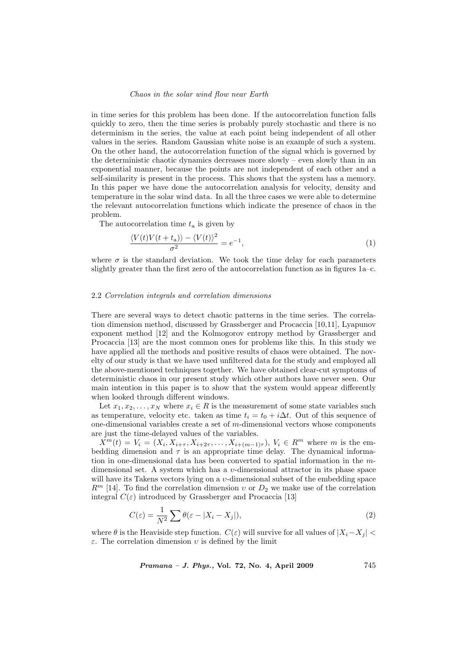in time series for this problem has been done. If the autocorrelation function falls quickly to zero, then the time series is probably purely stochastic and there is no determinism in the series, the value at each point being independent of all other values in the series. Random Gaussian white noise is an example of such a system. On the other hand, the autocorrelation function of the signal which is governed by the deterministic chaotic dynamics decreases more slowly – even slowly than in an exponential manner, because the points are not independent of each other and a self-similarity is present in the process. This shows that the system has a memory. In this paper we have done the autocorrelation analysis for velocity, density and temperature in the solar wind data. In all the three cases we were able to determine the relevant autocorrelation functions which indicate the presence of chaos in the problem.

The autocorrelation time  $t_a$  is given by

$$
\frac{\langle V(t)V(t+t_{\rm a})\rangle - \langle V(t)\rangle^2}{\sigma^2} = e^{-1},\tag{1}
$$

where  $\sigma$  is the standard deviation. We took the time delay for each parameters slightly greater than the first zero of the autocorrelation function as in figures 1a–c.

#### 2.2 Correlation integrals and correlation dimensions

There are several ways to detect chaotic patterns in the time series. The correlation dimension method, discussed by Grassberger and Procaccia [10,11], Lyapunov exponent method [12] and the Kolmogorov entropy method by Grassberger and Procaccia [13] are the most common ones for problems like this. In this study we have applied all the methods and positive results of chaos were obtained. The novelty of our study is that we have used unfiltered data for the study and employed all the above-mentioned techniques together. We have obtained clear-cut symptoms of deterministic chaos in our present study which other authors have never seen. Our main intention in this paper is to show that the system would appear differently when looked through different windows.

Let  $x_1, x_2, \ldots, x_N$  where  $x_i \in R$  is the measurement of some state variables such as temperature, velocity etc. taken as time  $t_i = t_0 + i\Delta t$ . Out of this sequence of one-dimensional variables create a set of m-dimensional vectors whose components are just the time-delayed values of the variables.

 $X^{m}(t) = V_i = (X_i, X_{i+\tau}, X_{i+2\tau}, \ldots, X_{i+(m-1)\tau}), V_i \in R^{m}$  where m is the embedding dimension and  $\tau$  is an appropriate time delay. The dynamical information in one-dimensional data has been converted to spatial information in the mdimensional set. A system which has a  $v$ -dimensional attractor in its phase space will have its Takens vectors lying on a  $v$ -dimensional subset of the embedding space  $R^m$  [14]. To find the correlation dimension  $v$  or  $D_2$  we make use of the correlation integral  $C(\varepsilon)$  introduced by Grassberger and Procaccia [13]

$$
C(\varepsilon) = \frac{1}{N^2} \sum \theta(\varepsilon - |X_i - X_j|),\tag{2}
$$

where  $\theta$  is the Heaviside step function.  $C(\varepsilon)$  will survive for all values of  $|X_i - X_j|$ ε. The correlation dimension υ is defined by the limit

 $Pramana - J. Phys., Vol. 72, No. 4, April 2009$  745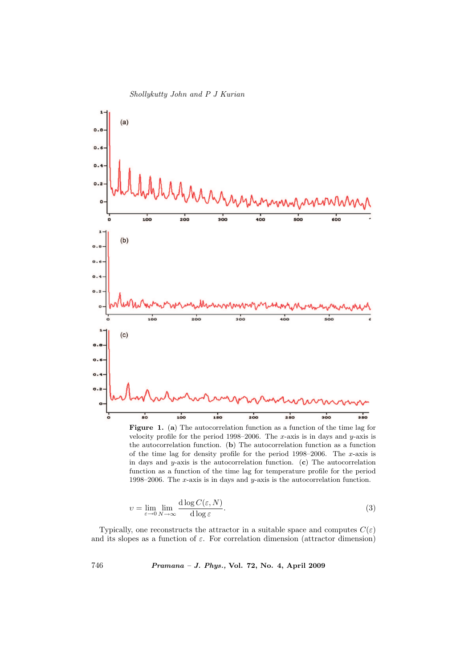

velocity profile for the period 1998–2006. The x-axis is in days and y-axis is the autocorrelation function. (b) The autocorrelation function as a function of the time lag for density profile for the period  $1998-2006$ . The x-axis is in days and  $y$ -axis is the autocorrelation function. (c) The autocorrelation function as a function of the time lag for temperature profile for the period 1998–2006. The x-axis is in days and y-axis is the autocorrelation function.

$$
v = \lim_{\varepsilon \to 0} \lim_{N \to \infty} \frac{\mathrm{d}\log C(\varepsilon, N)}{\mathrm{d}\log \varepsilon}.
$$
 (3)

Typically, one reconstructs the attractor in a suitable space and computes  $C(\varepsilon)$ and its slopes as a function of  $\varepsilon$ . For correlation dimension (attractor dimension)

746 Pramana – J. Phys., Vol. 72, No. 4, April 2009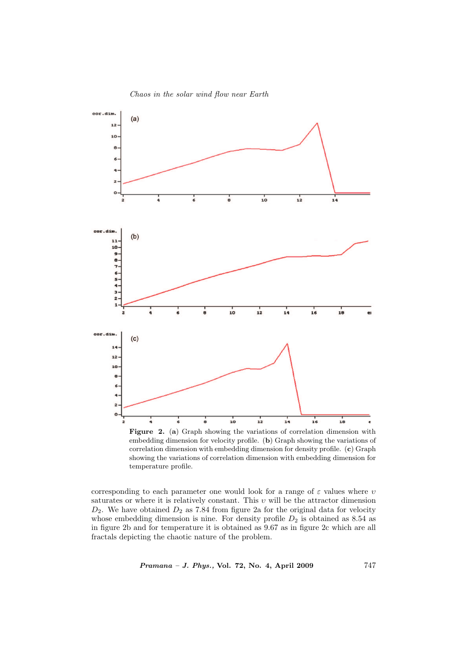

Chaos in the solar wind flow near Earth

embedding dimension for velocity profile. (b) Graph showing the variations of correlation dimension with embedding dimension for density profile. (c) Graph showing the variations of correlation dimension with embedding dimension for temperature profile.

corresponding to each parameter one would look for a range of  $\varepsilon$  values where  $v$ saturates or where it is relatively constant. This  $v$  will be the attractor dimension  $D_2$ . We have obtained  $D_2$  as 7.84 from figure 2a for the original data for velocity whose embedding dimension is nine. For density profile  $D_2$  is obtained as 8.54 as in figure 2b and for temperature it is obtained as 9.67 as in figure 2c which are all fractals depicting the chaotic nature of the problem.

Pramana – J. Phys., Vol. 72, No. 4, April 2009 747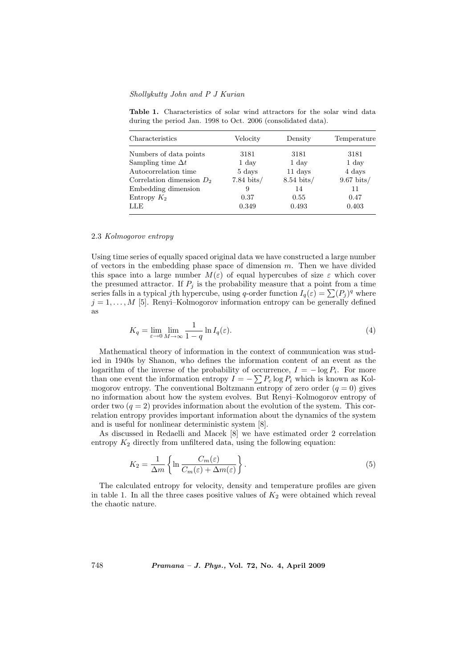# Shollykutty John and P J Kurian

Table 1. Characteristics of solar wind attractors for the solar wind data during the period Jan. 1998 to Oct. 2006 (consolidated data).

| Characteristics             | Velocity            | Density          | Temperature         |
|-----------------------------|---------------------|------------------|---------------------|
| Numbers of data points      | 3181                | 3181             | 3181                |
| Sampling time $\Delta t$    | $1\;{\rm day}$      | $1 \mathrm{day}$ | $1 \mathrm{day}$    |
| Autocorrelation time        | 5 days              | 11 days          | 4 days              |
| Correlation dimension $D_2$ | $7.84 \text{ bits}$ | $8.54$ bits/     | $9.67 \text{ bits}$ |
| Embedding dimension         | 9                   | 14               | 11                  |
| Entropy $K_2$               | 0.37                | 0.55             | 0.47                |
| LLE                         | 0.349               | 0.493            | 0.403               |

#### 2.3 Kolmogorov entropy

Using time series of equally spaced original data we have constructed a large number of vectors in the embedding phase space of dimension  $m$ . Then we have divided this space into a large number  $M(\varepsilon)$  of equal hypercubes of size  $\varepsilon$  which cover the presumed attractor. If  $P_i$  is the probability measure that a point from a time the presumed attractor. If  $P_j$  is the probability measure that a point from a time<br>series falls in a typical jth hypercube, using q-order function  $I_q(\varepsilon) = \sum (P_j)^q$  where  $j = 1, \ldots, M$  [5]. Renyi–Kolmogorov information entropy can be generally defined as

$$
K_q = \lim_{\varepsilon \to 0} \lim_{M \to \infty} \frac{1}{1 - q} \ln I_q(\varepsilon). \tag{4}
$$

Mathematical theory of information in the context of communication was studied in 1940s by Shanon, who defines the information content of an event as the logarithm of the inverse of the probability of occurrence,  $I = -\log P_i$ . For more than one event the information entropy  $I = -\sum P_c \log P_i$  which is known as Kolmogorov entropy. The conventional Boltzmann entropy of zero order  $(q = 0)$  gives no information about how the system evolves. But Renyi–Kolmogorov entropy of order two  $(q = 2)$  provides information about the evolution of the system. This correlation entropy provides important information about the dynamics of the system and is useful for nonlinear deterministic system [8].

As discussed in Redaelli and Macek [8] we have estimated order 2 correlation entropy  $K_2$  directly from unfiltered data, using the following equation:

$$
K_2 = \frac{1}{\Delta m} \left\{ \ln \frac{C_m(\varepsilon)}{C_m(\varepsilon) + \Delta m(\varepsilon)} \right\}.
$$
 (5)

The calculated entropy for velocity, density and temperature profiles are given in table 1. In all the three cases positive values of  $K_2$  were obtained which reveal the chaotic nature.

748 Pramana – J. Phys., Vol. 72, No. 4, April 2009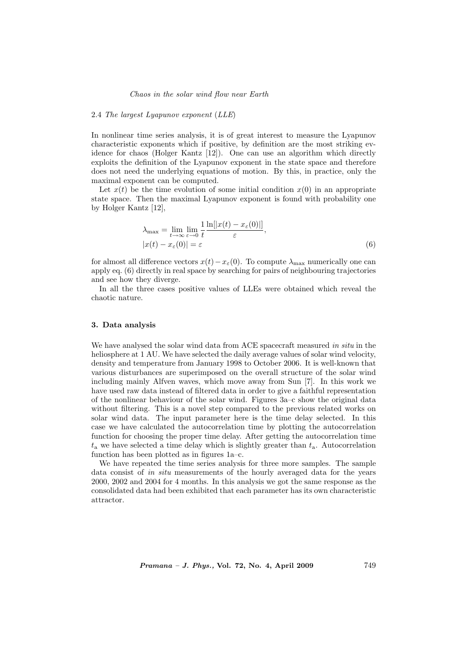#### Chaos in the solar wind flow near Earth

#### 2.4 The largest Lyapunov exponent (LLE)

In nonlinear time series analysis, it is of great interest to measure the Lyapunov characteristic exponents which if positive, by definition are the most striking evidence for chaos (Holger Kantz [12]). One can use an algorithm which directly exploits the definition of the Lyapunov exponent in the state space and therefore does not need the underlying equations of motion. By this, in practice, only the maximal exponent can be computed.

Let  $x(t)$  be the time evolution of some initial condition  $x(0)$  in an appropriate state space. Then the maximal Lyapunov exponent is found with probability one by Holger Kantz [12],

$$
\lambda_{\max} = \lim_{t \to \infty} \lim_{\varepsilon \to 0} \frac{1}{t} \frac{\ln[|x(t) - x_{\varepsilon}(0)|]}{\varepsilon},
$$
  

$$
|x(t) - x_{\varepsilon}(0)| = \varepsilon
$$
 (6)

for almost all difference vectors  $x(t) - x_{\varepsilon}(0)$ . To compute  $\lambda_{\max}$  numerically one can apply eq. (6) directly in real space by searching for pairs of neighbouring trajectories and see how they diverge.

In all the three cases positive values of LLEs were obtained which reveal the chaotic nature.

### 3. Data analysis

We have analysed the solar wind data from ACE spacecraft measured in situ in the heliosphere at 1 AU. We have selected the daily average values of solar wind velocity, density and temperature from January 1998 to October 2006. It is well-known that various disturbances are superimposed on the overall structure of the solar wind including mainly Alfven waves, which move away from Sun [7]. In this work we have used raw data instead of filtered data in order to give a faithful representation of the nonlinear behaviour of the solar wind. Figures 3a–c show the original data without filtering. This is a novel step compared to the previous related works on solar wind data. The input parameter here is the time delay selected. In this case we have calculated the autocorrelation time by plotting the autocorrelation function for choosing the proper time delay. After getting the autocorrelation time  $t_a$  we have selected a time delay which is slightly greater than  $t_a$ . Autocorrelation function has been plotted as in figures 1a–c.

We have repeated the time series analysis for three more samples. The sample data consist of in situ measurements of the hourly averaged data for the years 2000, 2002 and 2004 for 4 months. In this analysis we got the same response as the consolidated data had been exhibited that each parameter has its own characteristic attractor.

 $Pramana - J. Phys., Vol. 72, No. 4, April 2009$  749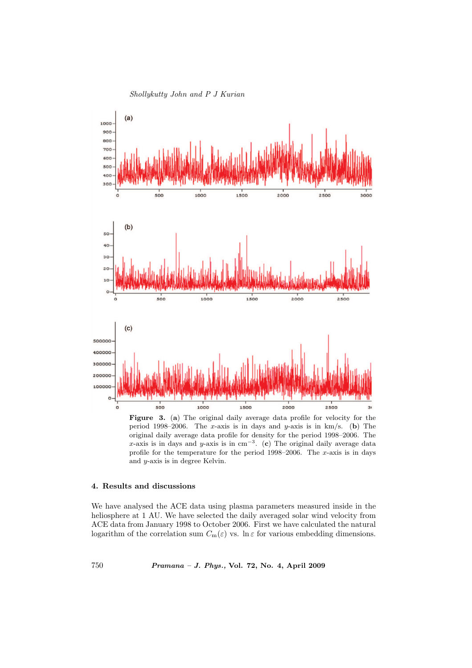



period 1998–2006. The x-axis is in days and y-axis is in  $km/s$ . (b) The original daily average data profile for density for the period 1998–2006. The x-axis is in days and y-axis is in cm<sup>-3</sup>. (c) The original daily average data profile for the temperature for the period  $1998-2006$ . The x-axis is in days and y-axis is in degree Kelvin.

# 4. Results and discussions

We have analysed the ACE data using plasma parameters measured inside in the heliosphere at 1 AU. We have selected the daily averaged solar wind velocity from ACE data from January 1998 to October 2006. First we have calculated the natural logarithm of the correlation sum  $C_m(\varepsilon)$  vs. ln  $\varepsilon$  for various embedding dimensions.

750 Pramana – J. Phys., Vol. 72, No. 4, April 2009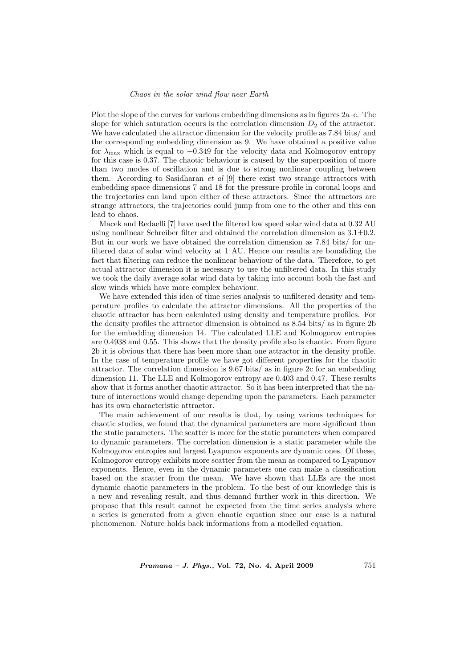Plot the slope of the curves for various embedding dimensions as in figures 2a–c. The slope for which saturation occurs is the correlation dimension  $D_2$  of the attractor. We have calculated the attractor dimension for the velocity profile as 7.84 bits/ and the corresponding embedding dimension as 9. We have obtained a positive value for  $\lambda_{\text{max}}$  which is equal to +0.349 for the velocity data and Kolmogorov entropy for this case is 0.37. The chaotic behaviour is caused by the superposition of more than two modes of oscillation and is due to strong nonlinear coupling between them. According to Sasidharan *et al*  $[9]$  there exist two strange attractors with embedding space dimensions 7 and 18 for the pressure profile in coronal loops and the trajectories can land upon either of these attractors. Since the attractors are strange attractors, the trajectories could jump from one to the other and this can lead to chaos.

Macek and Redaelli [7] have used the filtered low speed solar wind data at 0.32 AU using nonlinear Schreiber filter and obtained the correlation dimension as  $3.1 \pm 0.2$ . But in our work we have obtained the correlation dimension as 7.84 bits/ for unfiltered data of solar wind velocity at 1 AU. Hence our results are bonafiding the fact that filtering can reduce the nonlinear behaviour of the data. Therefore, to get actual attractor dimension it is necessary to use the unfiltered data. In this study we took the daily average solar wind data by taking into account both the fast and slow winds which have more complex behaviour.

We have extended this idea of time series analysis to unfiltered density and temperature profiles to calculate the attractor dimensions. All the properties of the chaotic attractor has been calculated using density and temperature profiles. For the density profiles the attractor dimension is obtained as 8.54 bits/ as in figure 2b for the embedding dimension 14. The calculated LLE and Kolmogorov entropies are 0.4938 and 0.55. This shows that the density profile also is chaotic. From figure 2b it is obvious that there has been more than one attractor in the density profile. In the case of temperature profile we have got different properties for the chaotic attractor. The correlation dimension is 9.67 bits/ as in figure 2c for an embedding dimension 11. The LLE and Kolmogorov entropy are 0.403 and 0.47. These results show that it forms another chaotic attractor. So it has been interpreted that the nature of interactions would change depending upon the parameters. Each parameter has its own characteristic attractor.

The main achievement of our results is that, by using various techniques for chaotic studies, we found that the dynamical parameters are more significant than the static parameters. The scatter is more for the static parameters when compared to dynamic parameters. The correlation dimension is a static parameter while the Kolmogorov entropies and largest Lyapunov exponents are dynamic ones. Of these, Kolmogorov entropy exhibits more scatter from the mean as compared to Lyapunov exponents. Hence, even in the dynamic parameters one can make a classification based on the scatter from the mean. We have shown that LLEs are the most dynamic chaotic parameters in the problem. To the best of our knowledge this is a new and revealing result, and thus demand further work in this direction. We propose that this result cannot be expected from the time series analysis where a series is generated from a given chaotic equation since our case is a natural phenomenon. Nature holds back informations from a modelled equation.

 $Pramana - J. Phys., Vol. 72, No. 4, April 2009$   $751$